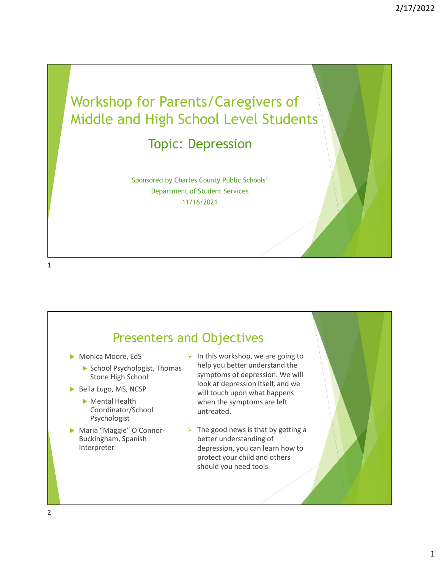



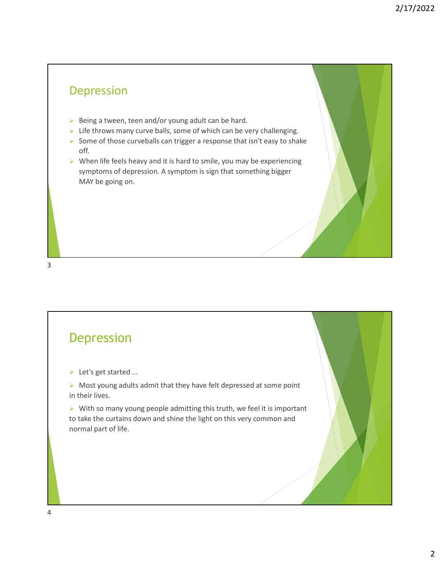#### Depression

- $\triangleright$  Being a tween, teen and/or young adult can be hard.
- $\triangleright$  Life throws many curve balls, some of which can be very challenging.
- Some of those curveballs can trigger a response that isn't easy to shake off.
- $\triangleright$  When life feels heavy and it is hard to smile, you may be experiencing symptoms of depression. A symptom is sign that something bigger MAY be going on.

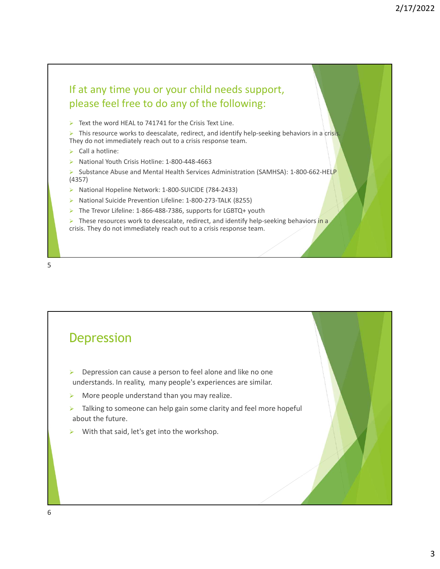# If at any time you or your child needs support, please feel free to do any of the following: If at any time you or your child needs support,<br>
please feel free to do any of the following:<br>
> Text the word HEAL to 741741 for the Crisis Text Line.<br>
> This resource works to deescalate, redirect, and dentify help-seeki

Text the word HEAL to 741741 for the Crisis Text Line.

 $\triangleright$  This resource works to deescalate, redirect, and identify help-seeking behaviors in a crisis. They do not immediately reach out to a crisis response team.

- $\triangleright$  Call a hotline:
- ▶ National Youth Crisis Hotline: 1-800-448-4663

Substance Abuse and Mental Health Services Administration (SAMHSA): 1-800-662-HELP (4357)

- 
- National Suicide Prevention Lifeline: 1-800-273-TALK (8255)
- $\triangleright$  The Trevor Lifeline: 1-866-488-7386, supports for LGBTQ+ youth

 $\triangleright$  These resources work to deescalate, redirect, and identify help-seeking behaviors in a crisis. They do not immediately reach out to a crisis response team.



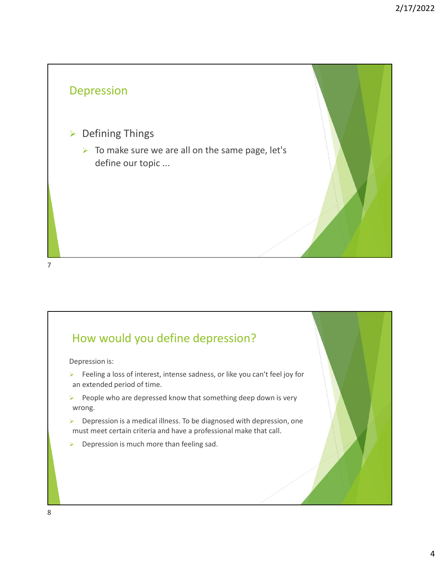# Depression ▶ Defining Things  $\triangleright$  To make sure we are all on the same page, let's define our topic ...

7

#### How would you define depression?

Depression is:

- $\triangleright$  Feeling a loss of interest, intense sadness, or like you can't feel joy for an extended period of time.
- $\triangleright$  People who are depressed know that something deep down is very wrong.
- $\triangleright$  Depression is a medical illness. To be diagnosed with depression, one must meet certain criteria and have a professional make that call.
- $\triangleright$  Depression is much more than feeling sad.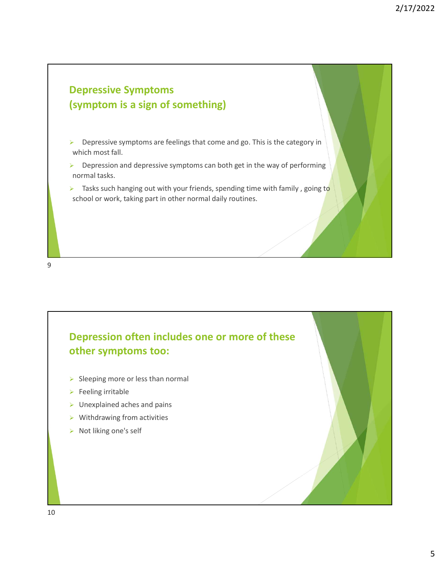



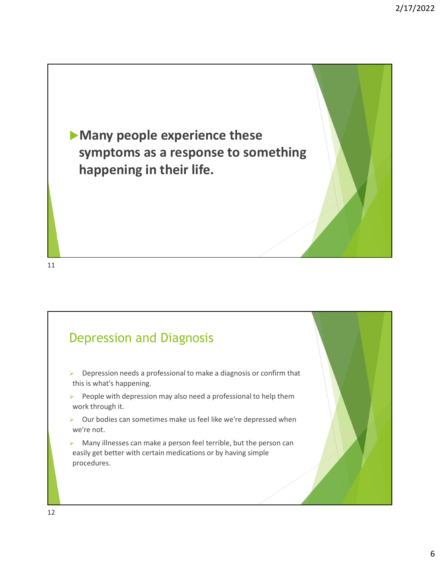

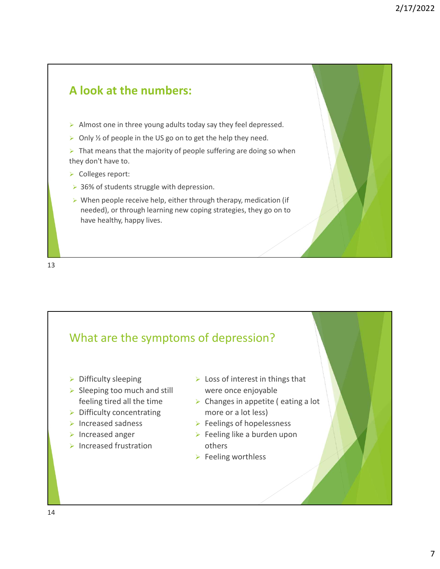



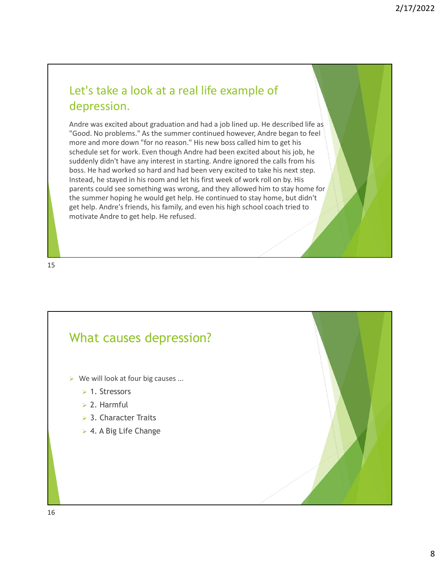## depression.

2/17/2022<br>
Let's take a look at a real life example of<br>
depression.<br>
Andre was excited about graduation and had a job lined up. He described life as<br>
"Good. No problems." As the summer continued however, Andre began to fee Andre was excited about graduation and had a job lined up. He described life as "Good. No problems." As the summer continued however, Andre began to feel more and more down "for no reason." His new boss called him to get his schedule set for work. Even though Andre had been excited about his job, he suddenly didn't have any interest in starting. Andre ignored the calls from his boss. He had worked so hard and had been very excited to take his next step. Instead, he stayed in his room and let his first week of work roll on by. His parents could see something was wrong, and they allowed him to stay home for Let's take a look at a real life example of<br>depression.<br>Andre was excited about graduation and had a job lined up. He described life as<br>"Good. No problems." As the summer continued however, Andre began to feel<br>summer and m get help. Andre's friends, his family, and even his high school coach tried to motivate Andre to get help. He refused.

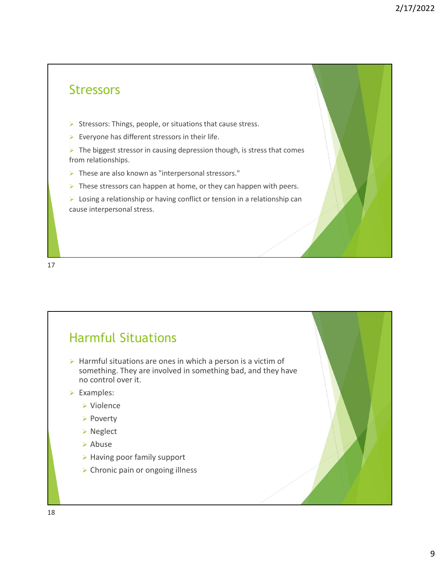#### **Stressors**

- Stressors: Things, people, or situations that cause stress.
- $\triangleright$  Everyone has different stressors in their life.
- $\triangleright$  The biggest stressor in causing depression though, is stress that comes from relationships.
- > These are also known as "interpersonal stressors."
- $\triangleright$  These stressors can happen at home, or they can happen with peers.
- $\triangleright$  Losing a relationship or having conflict or tension in a relationship can cause interpersonal stress.

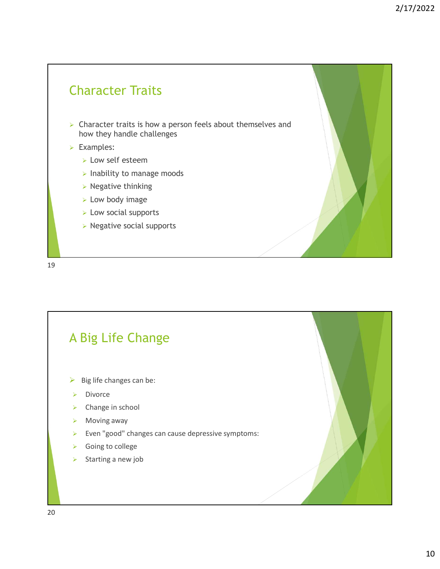#### Character Traits

- $\triangleright$  Character traits is how a person feels about themselves and how they handle challenges
- Examples:
	- **Low self esteem**
	- $\triangleright$  Inability to manage moods
	- $\triangleright$  Negative thinking
	- **Low body image**
	- $\triangleright$  Low social supports
	- $\triangleright$  Negative social supports

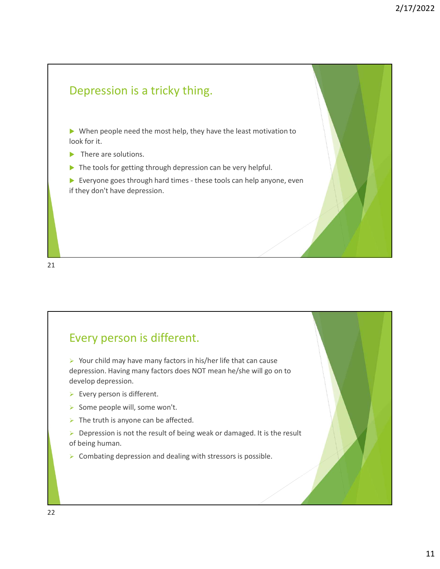

21

#### Every person is different.

depression. Having many factors does NOT mean he/she will go on to develop depression.

- $\triangleright$  Every person is different.
- Some people will, some won't.
- $\triangleright$  The truth is anyone can be affected.
- $\triangleright$  Depression is not the result of being weak or damaged. It is the result of being human.
- $\triangleright$  Combating depression and dealing with stressors is possible.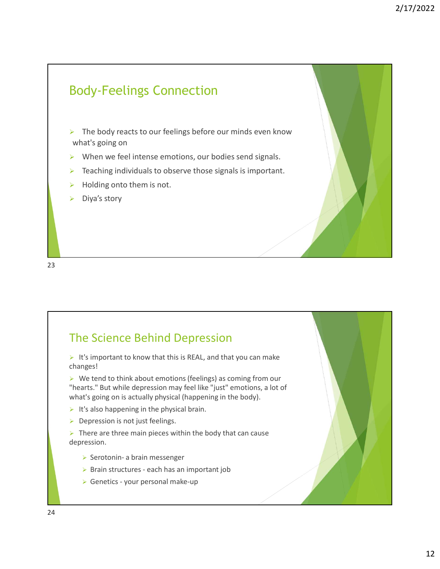### Body-Feelings Connection  $\triangleright$  The body reacts to our feelings before our minds even know what's going on  $\triangleright$  When we feel intense emotions, our bodies send signals.  $\triangleright$  Teaching individuals to observe those signals is important.  $\triangleright$  Holding onto them is not. Diya's story

23

### The Science Behind Depression It's important to know that this is REAL, and that you can make changes!  $\triangleright$  We tend to think about emotions (feelings) as coming from our "hearts." But while depression may feel like "just" emotions, a lot of what's going on is actually physical (happening in the body). It's also happening in the physical brain.  $\triangleright$  Depression is not just feelings. The Science Behind Depression<br>  $\triangleright$  It's important to know that this is REAL, and that you can make<br>
thanges!<br>  $\triangleright$  We tend to think about emotions (feelings) as coming from our<br>
"hearts." But while depression may fee depression. **Example 18 Scrience Behind Depression**<br>
Sumportant to know that this is REAL, and that you can make<br>
rats." But while depression may feel like "just" emotions, a lot of<br>
of the series in the depression may feel like "just **Example 12**<br>
Sumportant to know that this is REAL, and that you can make<br>
mages!<br>
We tend to think about emotions (feelings) as coming from our<br>
strs. "But while deepersion may feel like "just" emotions, a lot of<br>
It's go **Example 12**<br>
Simportant to know that this is REAL, and that you can make<br>
Signip on the studied term of the studied may be a studied with the specifical (happening in the body).<br>
Signip on is actually physical (happening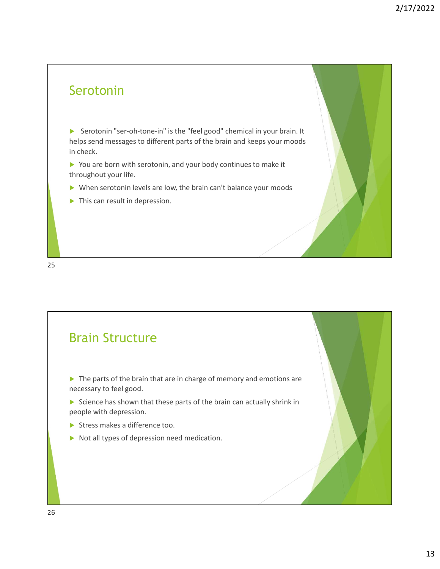#### Serotonin

Serotonin "ser-oh-tone-in" is the "feel good" chemical in your brain. It helps send messages to different parts of the brain and keeps your moods in check.

You are born with serotonin, and your body continues to make it throughout your life.

When serotonin levels are low, the brain can't balance your moods

 $\blacktriangleright$  This can result in depression.

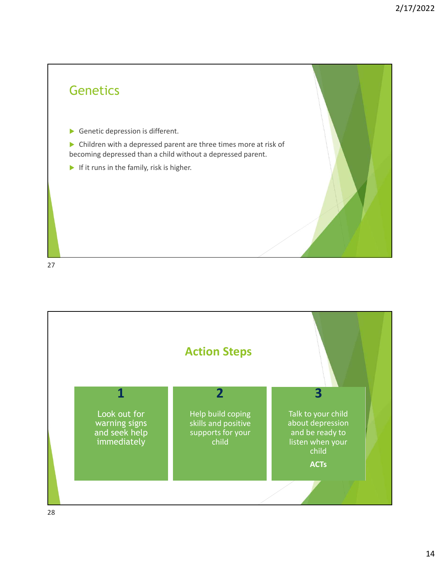

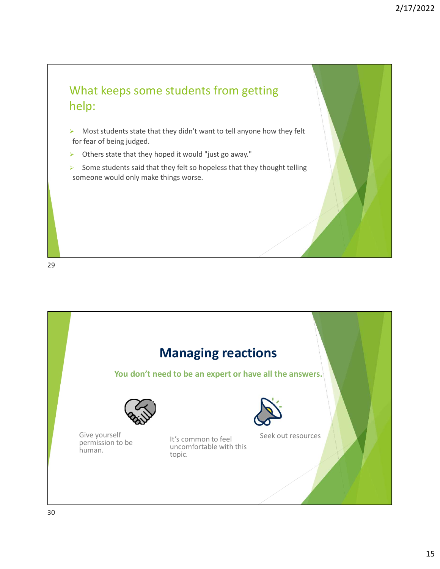

- $\triangleright$  Most students state that they didn't want to tell anyone how they felt for fear of being judged.
- $\triangleright$  Others state that they hoped it would "just go away."
- $\triangleright$  Some students said that they felt so hopeless that they thought telling someone would only make things worse.

29

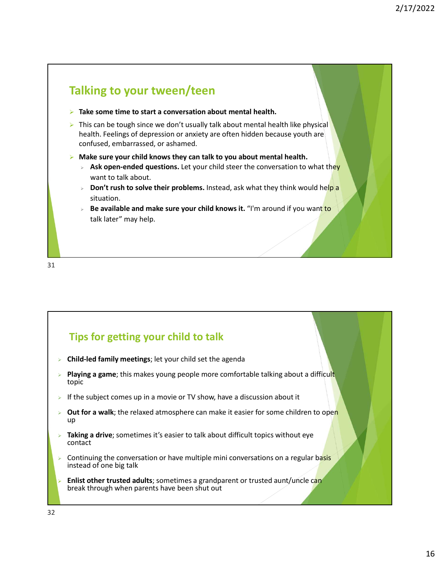

31

#### Tips for getting your child to talk

- Child-led family meetings; let your child set the agenda
- Playing a game; this makes young people more comfortable talking about a difficult topic
- If the subject comes up in a movie or TV show, have a discussion about it
- Out for a walk; the relaxed atmosphere can make it easier for some children to open up and the contract of the contract of the contract of the contract of the contract of the contract of the contract of the contract of the contract of the contract of the contract of the contract of the contract of the con Tips for getting your child to talk<br>
Schild-led family meetings; let your child set the agenda<br>
Playing a game; this makes young people more comfortable talking about a difficult<br>
Spice<br>
Supplementary the subject comes up
- Taking a drive; sometimes it's easier to talk about difficult topics without eye contact
- instead of one big talk
- Enlist other trusted adults; sometimes a grandparent or trusted aunt/uncle can break through when parents have been shut out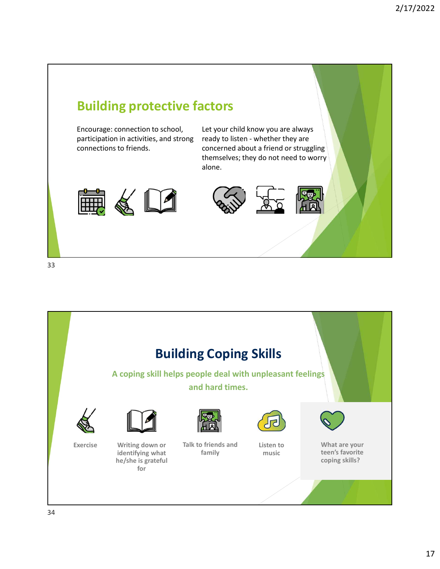



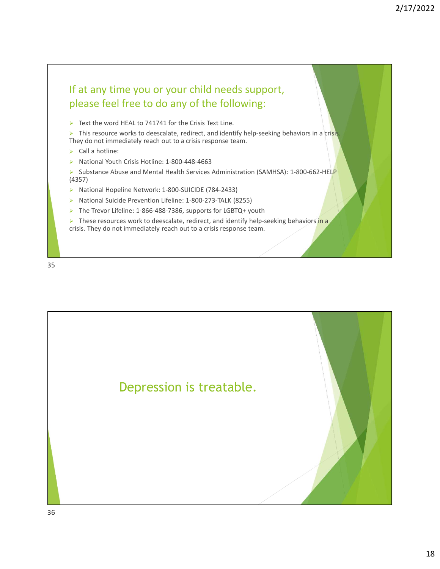# If at any time you or your child needs support, please feel free to do any of the following: If at any time you or your child needs support,<br>
please feel free to do any of the following:<br>
> Text the word HEAL to 741741 for the Crisis Text Line.<br>
> This resource works to deescalate, redirect, and dentify help-seeki

Text the word HEAL to 741741 for the Crisis Text Line.

 $\triangleright$  This resource works to deescalate, redirect, and identify help-seeking behaviors in a crisis. They do not immediately reach out to a crisis response team.

- $\triangleright$  Call a hotline:
- ▶ National Youth Crisis Hotline: 1-800-448-4663

Substance Abuse and Mental Health Services Administration (SAMHSA): 1-800-662-HELP (4357)

- 
- National Suicide Prevention Lifeline: 1-800-273-TALK (8255)
- The Trevor Lifeline: 1-866-488-7386, supports for LGBTQ+ youth

 $\triangleright$  These resources work to deescalate, redirect, and identify help-seeking behaviors in a crisis. They do not immediately reach out to a crisis response team.